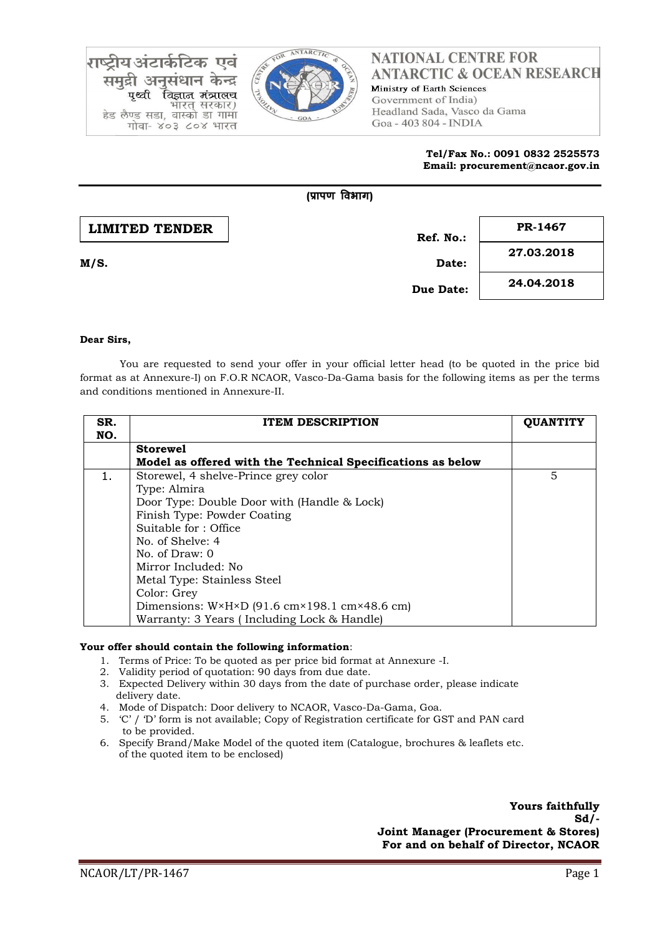

# **NATIONAL CENTRE FOR ANTARCTIC & OCEAN RESEARCH**

Ministry of Earth Sciences Government of India) Headland Sada, Vasco da Gama Goa - 403 804 - INDIA

> **Tel/Fax No.: 0091 0832 2525573 Email: procurement@ncaor.gov.in**

|                       | (प्रापण विभाग) |            |
|-----------------------|----------------|------------|
| <b>LIMITED TENDER</b> | Ref. No.:      | PR-1467    |
| M/S.                  | Date:          | 27.03.2018 |
|                       | Due Date:      | 24.04.2018 |

### **Dear Sirs,**

ाय अंटार्क

पृथ्वी

समद्री अनसंधान

हेड लैण्ड सडा, वास्को डा गामा

गोवा- ४०३ ८०४ भारत

केन्द्र

विज्ञान मंत्रालच

भारत् सरकार)

You are requested to send your offer in your official letter head (to be quoted in the price bid format as at Annexure-I) on F.O.R NCAOR, Vasco-Da-Gama basis for the following items as per the terms and conditions mentioned in Annexure-II.

| SR.<br>NO. | <b>ITEM DESCRIPTION</b>                                                        | <b>OUANTITY</b> |
|------------|--------------------------------------------------------------------------------|-----------------|
|            | <b>Storewel</b>                                                                |                 |
|            | Model as offered with the Technical Specifications as below                    |                 |
| 1.         | Storewel, 4 shelve-Prince grey color                                           | 5               |
|            | Type: Almira                                                                   |                 |
|            | Door Type: Double Door with (Handle & Lock)                                    |                 |
|            | Finish Type: Powder Coating                                                    |                 |
|            | Suitable for: Office                                                           |                 |
|            | No. of Shelve: 4                                                               |                 |
|            | No. of Draw: 0                                                                 |                 |
|            | Mirror Included: No                                                            |                 |
|            | Metal Type: Stainless Steel                                                    |                 |
|            | Color: Grey                                                                    |                 |
|            | Dimensions: $W \times H \times D$ (91.6 cm $\times$ 198.1 cm $\times$ 48.6 cm) |                 |
|            | Warranty: 3 Years (Including Lock & Handle)                                    |                 |

#### **Your offer should contain the following information**:

- 1. Terms of Price: To be quoted as per price bid format at Annexure -I.
- 2. Validity period of quotation: 90 days from due date.
- 3. Expected Delivery within 30 days from the date of purchase order, please indicate delivery date.
- 4. Mode of Dispatch: Door delivery to NCAOR, Vasco-Da-Gama, Goa.
- 5. 'C' / 'D' form is not available; Copy of Registration certificate for GST and PAN card to be provided.
- 6. Specify Brand/Make Model of the quoted item (Catalogue, brochures & leaflets etc. of the quoted item to be enclosed)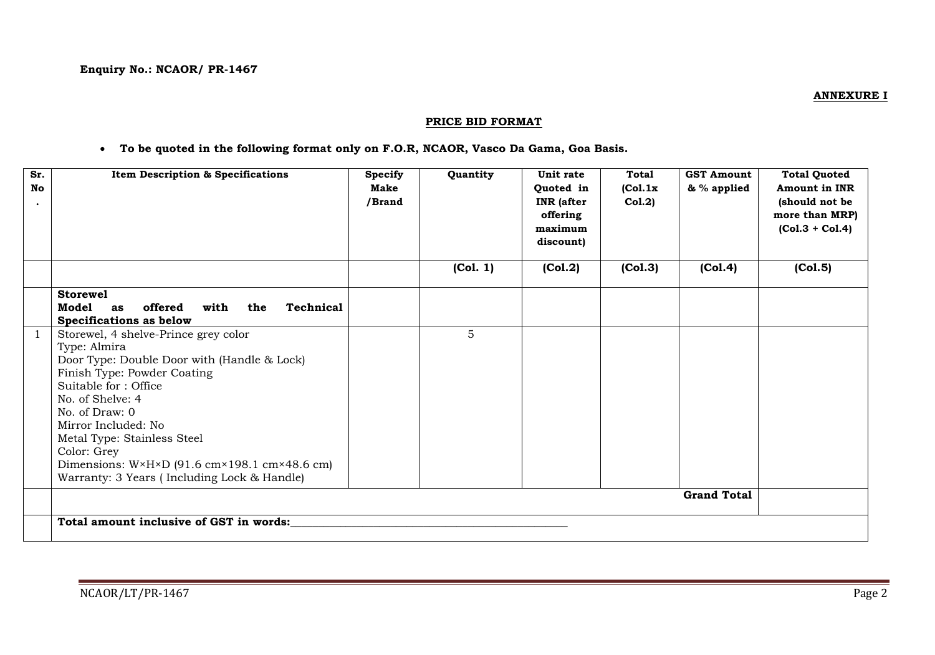### **PRICE BID FORMAT**

### **To be quoted in the following format only on F.O.R, NCAOR, Vasco Da Gama, Goa Basis.**

| Sr.<br>No<br>$\bullet$ | Item Description & Specifications                                                                                                                                                                                                                                                                                                                                                                        | <b>Specify</b><br>Make<br>/Brand | Quantity | Unit rate<br>Quoted in<br><b>INR</b> (after<br>offering<br>maximum<br>discount) | <b>Total</b><br>(Col.1x)<br>Col.2) | <b>GST Amount</b><br>& % applied | <b>Total Quoted</b><br><b>Amount in INR</b><br>(should not be<br>more than MRP)<br>$(Col.3 + Col.4)$ |
|------------------------|----------------------------------------------------------------------------------------------------------------------------------------------------------------------------------------------------------------------------------------------------------------------------------------------------------------------------------------------------------------------------------------------------------|----------------------------------|----------|---------------------------------------------------------------------------------|------------------------------------|----------------------------------|------------------------------------------------------------------------------------------------------|
|                        |                                                                                                                                                                                                                                                                                                                                                                                                          |                                  | (Col. 1) | (Col.2)                                                                         | (Col.3)                            | (Col.4)                          | (Col.5)                                                                                              |
|                        | <b>Storewel</b><br>offered<br><b>Technical</b><br>Model<br>with<br>the<br>as<br><b>Specifications as below</b>                                                                                                                                                                                                                                                                                           |                                  |          |                                                                                 |                                    |                                  |                                                                                                      |
|                        | Storewel, 4 shelve-Prince grey color<br>Type: Almira<br>Door Type: Double Door with (Handle & Lock)<br>Finish Type: Powder Coating<br>Suitable for: Office<br>No. of Shelve: 4<br>No. of $Draw: 0$<br>Mirror Included: No<br>Metal Type: Stainless Steel<br>Color: Grey<br>Dimensions: $W \times H \times D$ (91.6 cm $\times$ 198.1 cm $\times$ 48.6 cm)<br>Warranty: 3 Years (Including Lock & Handle) |                                  | 5        |                                                                                 |                                    |                                  |                                                                                                      |
|                        | <b>Grand Total</b>                                                                                                                                                                                                                                                                                                                                                                                       |                                  |          |                                                                                 |                                    |                                  |                                                                                                      |
|                        | Total amount inclusive of GST in words:                                                                                                                                                                                                                                                                                                                                                                  |                                  |          |                                                                                 |                                    |                                  |                                                                                                      |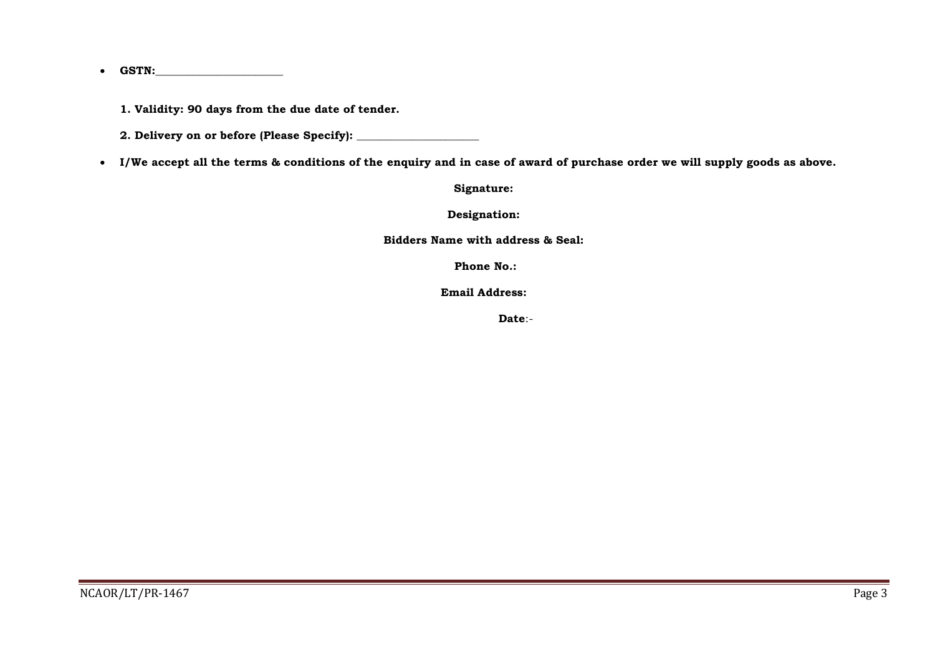$\bullet$  **GSTN:** 

**1. Validity: 90 days from the due date of tender.**

**2. Delivery on or before (Please Specify): \_\_\_\_\_\_\_\_\_\_\_\_\_\_\_\_\_\_\_\_\_\_**

**I/We accept all the terms & conditions of the enquiry and in case of award of purchase order we will supply goods as above.**

**Signature:**

**Designation:**

**Bidders Name with address & Seal:**

**Phone No.:**

**Email Address:**

 **Date**:-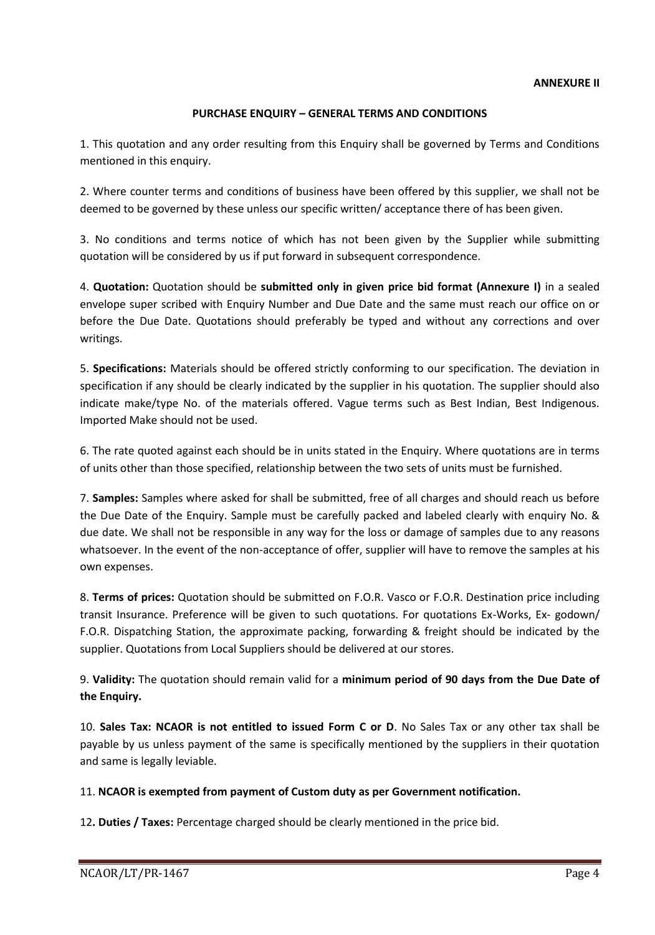### **PURCHASE ENQUIRY – GENERAL TERMS AND CONDITIONS**

1. This quotation and any order resulting from this Enquiry shall be governed by Terms and Conditions mentioned in this enquiry.

2. Where counter terms and conditions of business have been offered by this supplier, we shall not be deemed to be governed by these unless our specific written/ acceptance there of has been given.

3. No conditions and terms notice of which has not been given by the Supplier while submitting quotation will be considered by us if put forward in subsequent correspondence.

4. **Quotation:** Quotation should be **submitted only in given price bid format (Annexure I)** in a sealed envelope super scribed with Enquiry Number and Due Date and the same must reach our office on or before the Due Date. Quotations should preferably be typed and without any corrections and over writings.

5. **Specifications:** Materials should be offered strictly conforming to our specification. The deviation in specification if any should be clearly indicated by the supplier in his quotation. The supplier should also indicate make/type No. of the materials offered. Vague terms such as Best Indian, Best Indigenous. Imported Make should not be used.

6. The rate quoted against each should be in units stated in the Enquiry. Where quotations are in terms of units other than those specified, relationship between the two sets of units must be furnished.

7. **Samples:** Samples where asked for shall be submitted, free of all charges and should reach us before the Due Date of the Enquiry. Sample must be carefully packed and labeled clearly with enquiry No. & due date. We shall not be responsible in any way for the loss or damage of samples due to any reasons whatsoever. In the event of the non-acceptance of offer, supplier will have to remove the samples at his own expenses.

8. **Terms of prices:** Quotation should be submitted on F.O.R. Vasco or F.O.R. Destination price including transit Insurance. Preference will be given to such quotations. For quotations Ex-Works, Ex- godown/ F.O.R. Dispatching Station, the approximate packing, forwarding & freight should be indicated by the supplier. Quotations from Local Suppliers should be delivered at our stores.

9. **Validity:** The quotation should remain valid for a **minimum period of 90 days from the Due Date of the Enquiry.** 

10. **Sales Tax: NCAOR is not entitled to issued Form C or D**. No Sales Tax or any other tax shall be payable by us unless payment of the same is specifically mentioned by the suppliers in their quotation and same is legally leviable.

## 11. **NCAOR is exempted from payment of Custom duty as per Government notification.**

12**. Duties / Taxes:** Percentage charged should be clearly mentioned in the price bid.